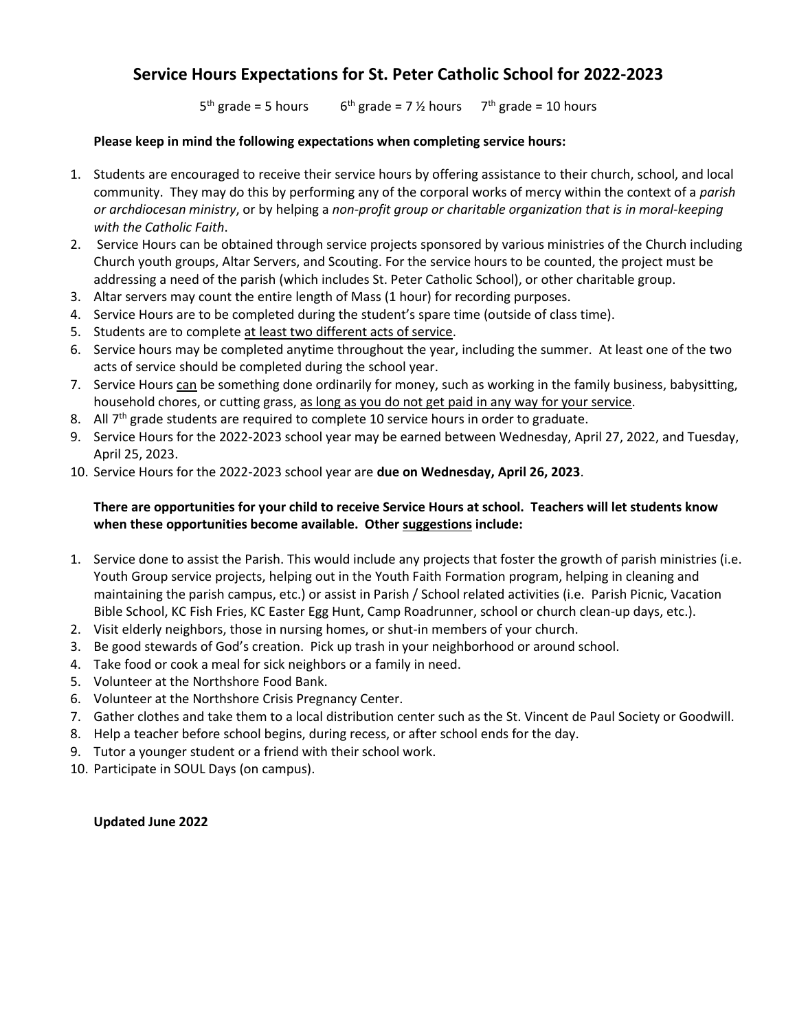## **Service Hours Expectations for St. Peter Catholic School for 2022-2023**

 $5<sup>th</sup>$  grade = 5 hours 6 <sup>th</sup> grade = 7  $\frac{y}{2}$  hours 7<sup>th</sup> grade = 10 hours

## **Please keep in mind the following expectations when completing service hours:**

- 1. Students are encouraged to receive their service hours by offering assistance to their church, school, and local community. They may do this by performing any of the corporal works of mercy within the context of a *parish or archdiocesan ministry*, or by helping a *non-profit group or charitable organization that is in moral-keeping with the Catholic Faith*.
- 2. Service Hours can be obtained through service projects sponsored by various ministries of the Church including Church youth groups, Altar Servers, and Scouting. For the service hours to be counted, the project must be addressing a need of the parish (which includes St. Peter Catholic School), or other charitable group.
- 3. Altar servers may count the entire length of Mass (1 hour) for recording purposes.
- 4. Service Hours are to be completed during the student's spare time (outside of class time).
- 5. Students are to complete at least two different acts of service.
- 6. Service hours may be completed anytime throughout the year, including the summer. At least one of the two acts of service should be completed during the school year.
- 7. Service Hours can be something done ordinarily for money, such as working in the family business, babysitting, household chores, or cutting grass, as long as you do not get paid in any way for your service.
- 8. All  $7<sup>th</sup>$  grade students are required to complete 10 service hours in order to graduate.
- 9. Service Hours for the 2022-2023 school year may be earned between Wednesday, April 27, 2022, and Tuesday, April 25, 2023.
- 10. Service Hours for the 2022-2023 school year are **due on Wednesday, April 26, 2023**.

## **There are opportunities for your child to receive Service Hours at school. Teachers will let students know when these opportunities become available. Other suggestions include:**

- 1. Service done to assist the Parish. This would include any projects that foster the growth of parish ministries (i.e. Youth Group service projects, helping out in the Youth Faith Formation program, helping in cleaning and maintaining the parish campus, etc.) or assist in Parish / School related activities (i.e. Parish Picnic, Vacation Bible School, KC Fish Fries, KC Easter Egg Hunt, Camp Roadrunner, school or church clean-up days, etc.).
- 2. Visit elderly neighbors, those in nursing homes, or shut-in members of your church.
- 3. Be good stewards of God's creation. Pick up trash in your neighborhood or around school.
- 4. Take food or cook a meal for sick neighbors or a family in need.
- 5. Volunteer at the Northshore Food Bank.
- 6. Volunteer at the Northshore Crisis Pregnancy Center.
- 7. Gather clothes and take them to a local distribution center such as the St. Vincent de Paul Society or Goodwill.
- 8. Help a teacher before school begins, during recess, or after school ends for the day.
- 9. Tutor a younger student or a friend with their school work.
- 10. Participate in SOUL Days (on campus).

**Updated June 2022**